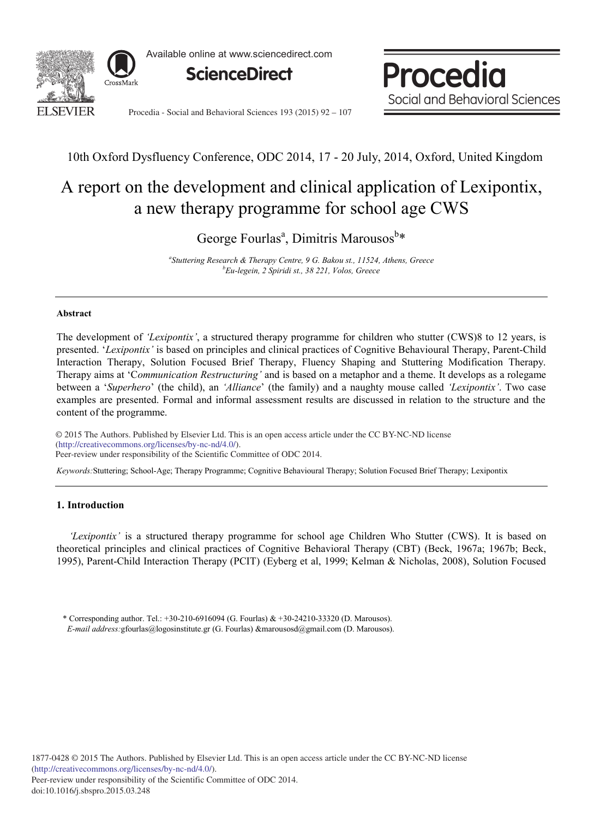

Available online at www.sciencedirect.com

**ScienceDirect**



Procedia - Social and Behavioral Sciences 193 (2015) 92 - 107

## 10th Oxford Dysfluency Conference, ODC 2014, 17 - 20 July, 2014, Oxford, United Kingdom

# A report on the development and clinical application of Lexipontix, a new therapy programme for school age CWS

George Fourlas<sup>a</sup>, Dimitris Marousos<sup>b\*</sup>

*a Stuttering Research & Therapy Centre, 9 G. Bakou st., 11524, Athens, Greece b Eu-legein, 2 Spiridi st., 38 221, Volos, Greece*

#### **Abstract**

The development of *'Lexipontix'*, a structured therapy programme for children who stutter (CWS)8 to 12 years, is presented. '*Lexipontix'* is based on principles and clinical practices of Cognitive Behavioural Therapy, Parent-Child Interaction Therapy, Solution Focused Brief Therapy, Fluency Shaping and Stuttering Modification Therapy. Therapy aims at 'C*ommunication Restructuring'* and is based on a metaphor and a theme. It develops as a rolegame between a '*Superhero*' (the child), an *'Alliance*' (the family) and a naughty mouse called *'Lexipontix'*. Two case examples are presented. Formal and informal assessment results are discussed in relation to the structure and the content of the programme.

© 2015 The Authors. Published by Elsevier Ltd. © 2015 The Authors. Published by Elsevier Ltd. This is an open access article under the CC BY-NC-ND license Peer-review under responsibility of the Scientific Committee of ODC 2014. Peer-review under responsibility of the Scientific Committee of ODC 2014.(http://creativecommons.org/licenses/by-nc-nd/4.0/).

*Keywords:*Stuttering; School-Age; Therapy Programme; Cognitive Behavioural Therapy; Solution Focused Brief Therapy; Lexipontix

## **1. Introduction**

*'Lexipontix'* is a structured therapy programme for school age Children Who Stutter (CWS). It is based on theoretical principles and clinical practices of Cognitive Behavioral Therapy (CBT) (Beck, 1967a; 1967b; Beck, 1995), Parent-Child Interaction Therapy (PCIT) (Eyberg et al, 1999; Kelman & Nicholas, 2008), Solution Focused

\* Corresponding author. Tel.: +30-210-6916094 (G. Fourlas) & +30-24210-33320 (D. Marousos).  *E-mail address:*gfourlas@logosinstitute.gr (G. Fourlas) &marousosd@gmail.com (D. Marousos).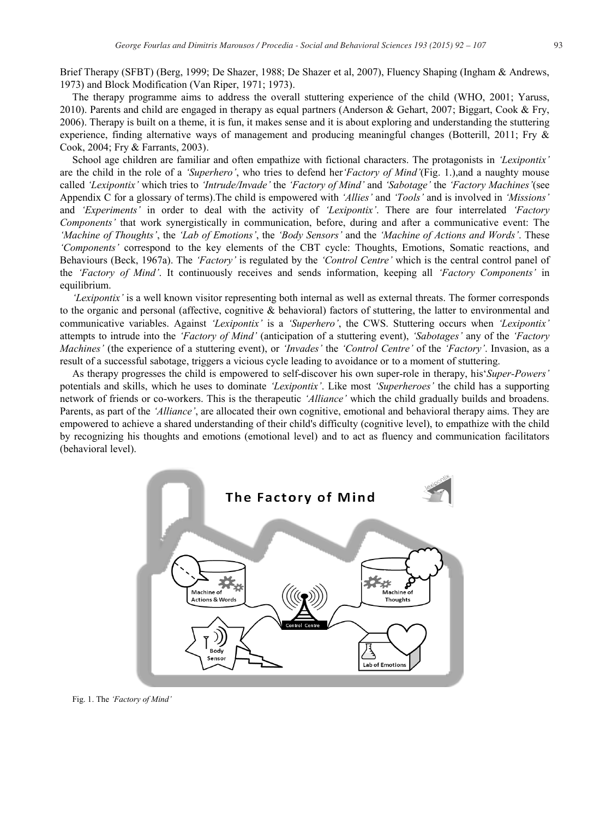Brief Therapy (SFBT) (Berg, 1999; De Shazer, 1988; De Shazer et al, 2007), Fluency Shaping (Ingham & Andrews, 1973) and Block Modification (Van Riper, 1971; 1973).

The therapy programme aims to address the overall stuttering experience of the child (WHO, 2001; Yaruss, 2010). Parents and child are engaged in therapy as equal partners (Anderson & Gehart, 2007; Biggart, Cook & Fry, 2006). Therapy is built on a theme, it is fun, it makes sense and it is about exploring and understanding the stuttering experience, finding alternative ways of management and producing meaningful changes (Botterill, 2011; Fry & Cook, 2004; Fry & Farrants, 2003).

School age children are familiar and often empathize with fictional characters. The protagonists in *'Lexipontix'* are the child in the role of a *'Superhero'*, who tries to defend her*'Factory of Mind'*(Fig. 1.),and a naughty mouse called *'Lexipontix'* which tries to *'Intrude/Invade'* the *'Factory of Mind'* and *'Sabotage'* the *'Factory Machines'*(see Appendix C for a glossary of terms).The child is empowered with *'Allies'* and *'Tools'* and is involved in *'Missions'* and *'Experiments'* in order to deal with the activity of *'Lexipontix'*. There are four interrelated *'Factory Components'* that work synergistically in communication, before, during and after a communicative event: The *'Machine of Thoughts'*, the *'Lab of Emotions'*, the *'Body Sensors'* and the *'Machine of Actions and Words'*. These *'Components'* correspond to the key elements of the CBT cycle: Thoughts, Emotions, Somatic reactions, and Behaviours (Beck, 1967a). The *'Factory'* is regulated by the *'Control Centre'* which is the central control panel of the *'Factory of Mind'*. It continuously receives and sends information, keeping all *'Factory Components'* in equilibrium.

*'Lexipontix'* is a well known visitor representing both internal as well as external threats. The former corresponds to the organic and personal (affective, cognitive & behavioral) factors of stuttering, the latter to environmental and communicative variables. Against *'Lexipontix'* is a *'Superhero'*, the CWS. Stuttering occurs when *'Lexipontix'*  attempts to intrude into the *'Factory of Mind'* (anticipation of a stuttering event), *'Sabotages'* any of the *'Factory Machines'* (the experience of a stuttering event), or *'Invades'* the *'Control Centre'* of the *'Factory'*. Invasion, as a result of a successful sabotage, triggers a vicious cycle leading to avoidance or to a moment of stuttering.

As therapy progresses the child is empowered to self-discover his own super-role in therapy, his'*Super-Powers'* potentials and skills, which he uses to dominate *'Lexipontix'*. Like most *'Superheroes'* the child has a supporting network of friends or co-workers. This is the therapeutic *'Αlliance'* which the child gradually builds and broadens. Parents, as part of the *'Alliance'*, are allocated their own cognitive, emotional and behavioral therapy aims. They are empowered to achieve a shared understanding of their child's difficulty (cognitive level), to empathize with the child by recognizing his thoughts and emotions (emotional level) and to act as fluency and communication facilitators (behavioral level).



Fig. 1. The *'Factory of Mind'*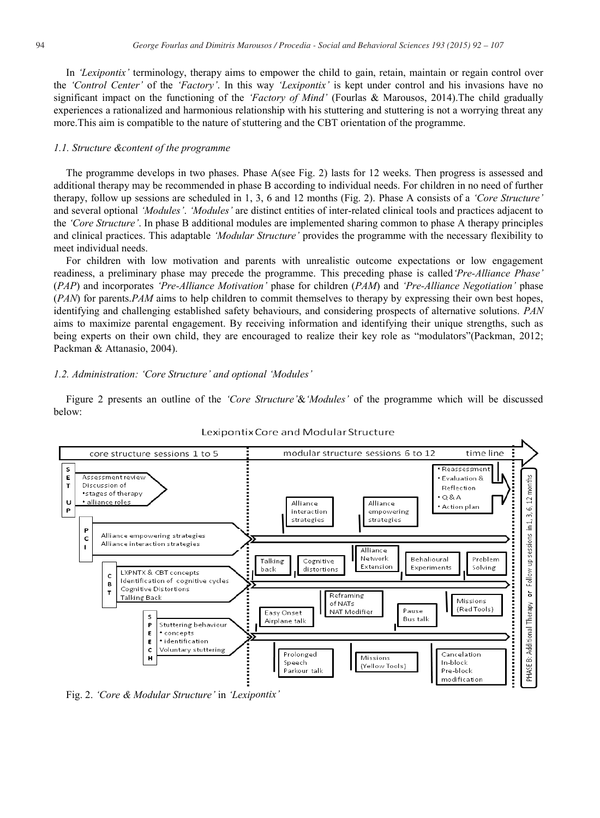In *'Lexipontix'* terminology, therapy aims to empower the child to gain, retain, maintain or regain control over the *'Control Center'* of the *'Factory'*. In this way *'Lexipontix'* is kept under control and his invasions have no significant impact on the functioning of the *'Factory of Mind'* (Fourlas & Marousos, 2014).The child gradually experiences a rationalized and harmonious relationship with his stuttering and stuttering is not a worrying threat any more.This aim is compatible to the nature of stuttering and the CBT orientation of the programme.

#### *1.1. Structure &content of the programme*

The programme develops in two phases. Phase A(see Fig. 2) lasts for 12 weeks. Then progress is assessed and additional therapy may be recommended in phase B according to individual needs. For children in no need of further therapy, follow up sessions are scheduled in 1, 3, 6 and 12 months (Fig. 2). Phase A consists of a *'Core Structure'* and several optional *'Modules'*. *'Modules'* are distinct entities of inter-related clinical tools and practices adjacent to the *'Core Structure'*. In phase B additional modules are implemented sharing common to phase A therapy principles and clinical practices. This adaptable *'Modular Structure'* provides the programme with the necessary flexibility to meet individual needs.

For children with low motivation and parents with unrealistic outcome expectations or low engagement readiness, a preliminary phase may precede the programme. This preceding phase is called*'Pre-Alliance Phase'* (*PAP*) and incorporates *'Pre-Alliance Motivation'* phase for children (*PAM*) and *'Pre-Alliance Negotiation'* phase (*PAN*) for parents.*PAM* aims to help children to commit themselves to therapy by expressing their own best hopes, identifying and challenging established safety behaviours, and considering prospects of alternative solutions. *PAN* aims to maximize parental engagement. By receiving information and identifying their unique strengths, such as being experts on their own child, they are encouraged to realize their key role as "modulators"(Packman, 2012; Packman & Attanasio, 2004).

#### *1.2. Administration: 'Core Structure' and optional 'Modules'*

Figure 2 presents an outline of the *'Core Structure'*&*'Modules'* of the programme which will be discussed below:



#### Lexipontix Core and Modular Structure

Fig. 2. *'Core & Modular Structure'* in *'Lexipontix'*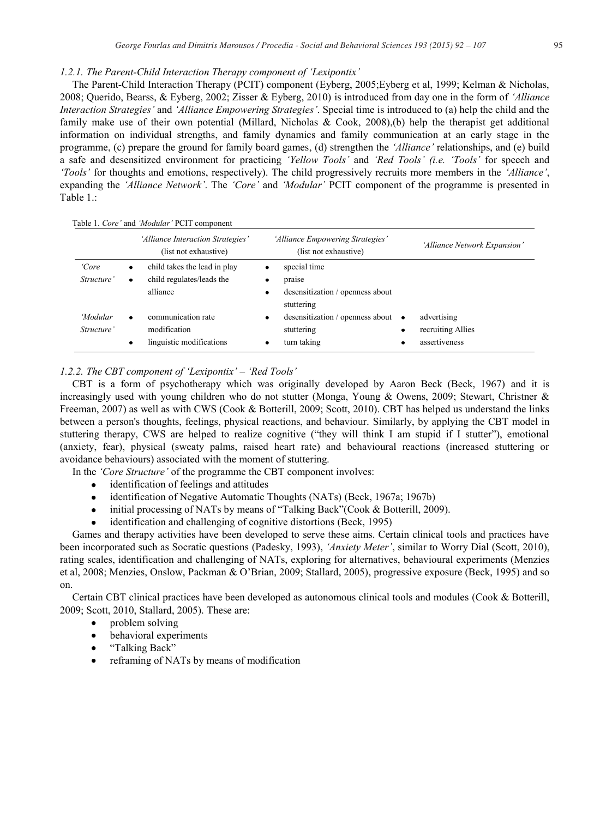## *1.2.1. The Parent-Child Interaction Therapy component of 'Lexipontix'*

The Parent-Child Interaction Therapy (PCIT) component (Eyberg, 2005;Eyberg et al, 1999; Kelman & Nicholas, 2008; Querido, Bearss, & Eyberg, 2002; Zisser & Eyberg, 2010) is introduced from day one in the form of *'Alliance Interaction Strategies'* and *'Alliance Empowering Strategies'*. Special time is introduced to (a) help the child and the family make use of their own potential (Millard, Nicholas & Cook, 2008),(b) help the therapist get additional information on individual strengths, and family dynamics and family communication at an early stage in the programme, (c) prepare the ground for family board games, (d) strengthen the *'Alliance'* relationships, and (e) build a safe and desensitized environment for practicing *'Yellow Tools'* and *'Red Tools' (i.e. 'Tools'* for speech and *'Tools'* for thoughts and emotions, respectively). The child progressively recruits more members in the *'Alliance'*, expanding the *'Alliance Network'*. The *'Core'* and *'Modular'* PCIT component of the programme is presented in Table 1.:

|  |  |  |  | Table 1. Core' and 'Modular' PCIT component |
|--|--|--|--|---------------------------------------------|
|--|--|--|--|---------------------------------------------|

|                        |                | 'Alliance Interaction Strategies'<br>(list not exhaustive)     |        | 'Alliance Empowering Strategies'<br>(list not exhaustive)     |        | 'Alliance Network Expansion'                      |
|------------------------|----------------|----------------------------------------------------------------|--------|---------------------------------------------------------------|--------|---------------------------------------------------|
| 'Core                  | ٠              | child takes the lead in play                                   | ٠      | special time                                                  |        |                                                   |
| Structure'             | ٠              | child regulates/leads the<br>alliance                          | ٠<br>٠ | praise<br>desensitization / openness about<br>stuttering      |        |                                                   |
| 'Modular<br>Structure' | $\bullet$<br>٠ | communication rate<br>modification<br>linguistic modifications | ٠<br>٠ | desensitization / openness about<br>stuttering<br>turn taking | ٠<br>٠ | advertising<br>recruiting Allies<br>assertiveness |

### *1.2.2. The CBT component of 'Lexipontix' – 'Red Tools'*

CBT is a form of psychotherapy which was originally developed by Aaron Beck (Beck, 1967) and it is increasingly used with young children who do not stutter (Monga, Young & Owens, 2009; Stewart, Christner & Freeman, 2007) as well as with CWS (Cook & Botterill, 2009; Scott, 2010). CBT has helped us understand the links between a person's thoughts, feelings, physical reactions, and behaviour. Similarly, by applying the CBT model in stuttering therapy, CWS are helped to realize cognitive ("they will think I am stupid if I stutter"), emotional (anxiety, fear), physical (sweaty palms, raised heart rate) and behavioural reactions (increased stuttering or avoidance behaviours) associated with the moment of stuttering.

In the *'Core Structure'* of the programme the CBT component involves:

- identification of feelings and attitudes  $\bullet$
- $\bullet$ identification of Negative Automatic Thoughts (NATs) (Beck, 1967a; 1967b)
- $\bullet$ initial processing of NATs by means of "Talking Back"(Cook & Botterill, 2009).
- identification and challenging of cognitive distortions (Beck, 1995)

Games and therapy activities have been developed to serve these aims. Certain clinical tools and practices have been incorporated such as Socratic questions (Padesky, 1993), *'Anxiety Meter'*, similar to Worry Dial (Scott, 2010), rating scales, identification and challenging of NATs, exploring for alternatives, behavioural experiments (Menzies et al, 2008; Menzies, Onslow, Packman & O'Brian, 2009; Stallard, 2005), progressive exposure (Beck, 1995) and so on.

Certain CBT clinical practices have been developed as autonomous clinical tools and modules (Cook & Botterill, 2009; Scott, 2010, Stallard, 2005). These are:

- problem solving  $\bullet$
- $\bullet$ behavioral experiments
- "Talking Back"  $\bullet$
- $\bullet$ reframing of NATs by means of modification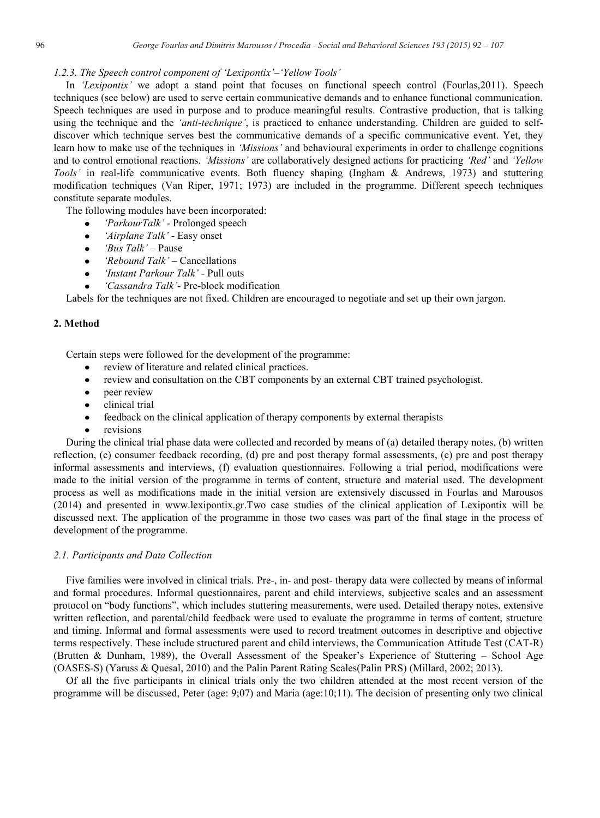#### *1.2.3. The Speech control component of 'Lexipontix'–'Yellow Tools'*

In *'Lexipontix'* we adopt a stand point that focuses on functional speech control (Fourlas,2011). Speech techniques (see below) are used to serve certain communicative demands and to enhance functional communication. Speech techniques are used in purpose and to produce meaningful results. Contrastive production, that is talking using the technique and the *'anti-technique'*, is practiced to enhance understanding. Children are guided to selfdiscover which technique serves best the communicative demands of a specific communicative event. Yet, they learn how to make use of the techniques in *'Missions'* and behavioural experiments in order to challenge cognitions and to control emotional reactions. *'Missions'* are collaboratively designed actions for practicing *'Red'* and *'Yellow Tools'* in real-life communicative events. Both fluency shaping (Ingham & Andrews, 1973) and stuttering modification techniques (Van Riper, 1971; 1973) are included in the programme. Different speech techniques constitute separate modules.

The following modules have been incorporated:

- *'ParkourTalk'* Prolonged speech
- *'Airplane Talk'* Easy onset
- *'Bus Talk'* Pause  $\bullet$
- *'Rebound Talk'* Cancellations
- *'Instant Parkour Talk'* Pull outs
- *'Cassandra Talk'* Pre-block modification

Labels for the techniques are not fixed. Children are encouraged to negotiate and set up their own jargon.

## **2. Method**

Certain steps were followed for the development of the programme:

- review of literature and related clinical practices.  $\bullet$
- review and consultation on the CBT components by an external CBT trained psychologist.  $\bullet$
- peer review
- clinical trial
- feedback on the clinical application of therapy components by external therapists
- revisions

During the clinical trial phase data were collected and recorded by means of (a) detailed therapy notes, (b) written reflection, (c) consumer feedback recording, (d) pre and post therapy formal assessments, (e) pre and post therapy informal assessments and interviews, (f) evaluation questionnaires. Following a trial period, modifications were made to the initial version of the programme in terms of content, structure and material used. The development process as well as modifications made in the initial version are extensively discussed in Fourlas and Marousos (2014) and presented in www.lexipontix.gr.Two case studies of the clinical application of Lexipontix will be discussed next. The application of the programme in those two cases was part of the final stage in the process of development of the programme.

#### *2.1. Participants and Data Collection*

Five families were involved in clinical trials. Pre-, in- and post- therapy data were collected by means of informal and formal procedures. Informal questionnaires, parent and child interviews, subjective scales and an assessment protocol on "body functions", which includes stuttering measurements, were used. Detailed therapy notes, extensive written reflection, and parental/child feedback were used to evaluate the programme in terms of content, structure and timing. Informal and formal assessments were used to record treatment outcomes in descriptive and objective terms respectively. These include structured parent and child interviews, the Communication Attitude Test (CAT-R) (Brutten & Dunham, 1989), the Overall Assessment of the Speaker's Experience of Stuttering – School Age (OASES-S) (Yaruss & Quesal, 2010) and the Palin Parent Rating Scales(Palin PRS) (Millard, 2002; 2013).

Of all the five participants in clinical trials only the two children attended at the most recent version of the programme will be discussed, Peter (age: 9;07) and Maria (age:10;11). The decision of presenting only two clinical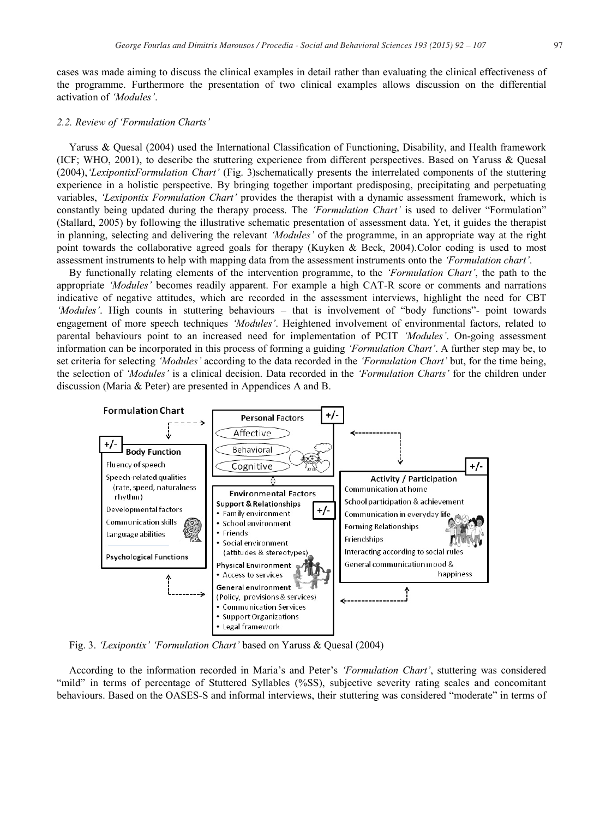cases was made aiming to discuss the clinical examples in detail rather than evaluating the clinical effectiveness of the programme. Furthermore the presentation of two clinical examples allows discussion on the differential activation of *'Modules'*.

#### *2.2. Review of 'Formulation Charts'*

Yaruss & Quesal (2004) used the International Classification of Functioning, Disability, and Health framework (ICF; WHO, 2001), to describe the stuttering experience from different perspectives. Based on Yaruss & Quesal (2004),*'LexipontixFormulation Chart'* (Fig. 3)schematically presents the interrelated components of the stuttering experience in a holistic perspective. By bringing together important predisposing, precipitating and perpetuating variables, *'Lexipontix Formulation Chart'* provides the therapist with a dynamic assessment framework, which is constantly being updated during the therapy process. The *'Formulation Chart'* is used to deliver "Formulation" (Stallard, 2005) by following the illustrative schematic presentation of assessment data. Yet, it guides the therapist in planning, selecting and delivering the relevant *'Modules'* of the programme, in an appropriate way at the right point towards the collaborative agreed goals for therapy (Kuyken & Beck, 2004).Color coding is used to most assessment instruments to help with mapping data from the assessment instruments onto the *'Formulation chart'*.

By functionally relating elements of the intervention programme, to the *'Formulation Chart'*, the path to the appropriate *'Modules'* becomes readily apparent. For example a high CAT-R score or comments and narrations indicative of negative attitudes, which are recorded in the assessment interviews, highlight the need for CBT *'Modules'*. High counts in stuttering behaviours – that is involvement of "body functions"- point towards engagement of more speech techniques *'Modules'*. Heightened involvement of environmental factors, related to parental behaviours point to an increased need for implementation of PCIT *'Modules'*. On-going assessment information can be incorporated in this process of forming a guiding *'Formulation Chart'*. A further step may be, to set criteria for selecting *'Modules'* according to the data recorded in the *'Formulation Chart'* but, for the time being, the selection of *'Modules'* is a clinical decision. Data recorded in the *'Formulation Charts'* for the children under discussion (Maria & Peter) are presented in Appendices A and B.



Fig. 3. *'Lexipontix' 'Formulation Chart'* based on Yaruss & Quesal (2004)

According to the information recorded in Maria's and Peter's *'Formulation Chart'*, stuttering was considered "mild" in terms of percentage of Stuttered Syllables (%SS), subjective severity rating scales and concomitant behaviours. Based on the OASES-S and informal interviews, their stuttering was considered "moderate" in terms of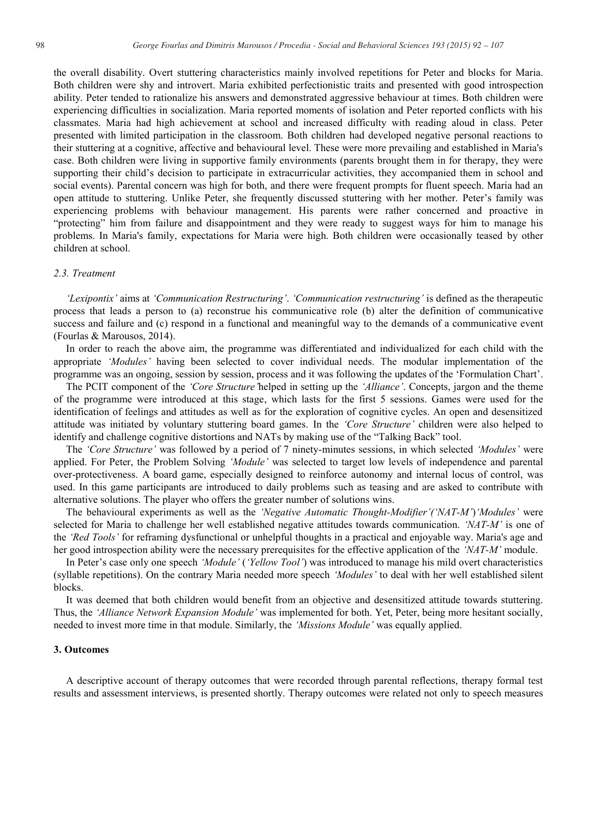the overall disability. Overt stuttering characteristics mainly involved repetitions for Peter and blocks for Maria. Both children were shy and introvert. Maria exhibited perfectionistic traits and presented with good introspection ability. Peter tended to rationalize his answers and demonstrated aggressive behaviour at times. Both children were experiencing difficulties in socialization. Maria reported moments of isolation and Peter reported conflicts with his classmates. Maria had high achievement at school and increased difficulty with reading aloud in class. Peter presented with limited participation in the classroom. Both children had developed negative personal reactions to their stuttering at a cognitive, affective and behavioural level. These were more prevailing and established in Maria's case. Both children were living in supportive family environments (parents brought them in for therapy, they were supporting their child's decision to participate in extracurricular activities, they accompanied them in school and social events). Parental concern was high for both, and there were frequent prompts for fluent speech. Maria had an open attitude to stuttering. Unlike Peter, she frequently discussed stuttering with her mother. Peter's family was experiencing problems with behaviour management. His parents were rather concerned and proactive in "protecting" him from failure and disappointment and they were ready to suggest ways for him to manage his problems. In Maria's family, expectations for Maria were high. Both children were occasionally teased by other children at school.

#### *2.3. Treatment*

*'Lexipontix'* aims at *'Communication Restructuring'*. *'Communication restructuring'* is defined as the therapeutic process that leads a person to (a) reconstrue his communicative role (b) alter the definition of communicative success and failure and (c) respond in a functional and meaningful way to the demands of a communicative event (Fourlas & Marousos, 2014).

In order to reach the above aim, the programme was differentiated and individualized for each child with the appropriate *'Modules'* having been selected to cover individual needs. The modular implementation of the programme was an ongoing, session by session, process and it was following the updates of the 'Formulation Chart'.

The PCIT component of the *'Core Structure'*helped in setting up the *'Alliance'*. Concepts, jargon and the theme of the programme were introduced at this stage, which lasts for the first 5 sessions. Games were used for the identification of feelings and attitudes as well as for the exploration of cognitive cycles. An open and desensitized attitude was initiated by voluntary stuttering board games. In the *'Core Structure'* children were also helped to identify and challenge cognitive distortions and NATs by making use of the "Talking Back" tool.

The *'Core Structure'* was followed by a period of 7 ninety-minutes sessions, in which selected *'Modules'* were applied. For Peter, the Problem Solving *'Module'* was selected to target low levels of independence and parental over-protectiveness. A board game, especially designed to reinforce autonomy and internal locus of control, was used. In this game participants are introduced to daily problems such as teasing and are asked to contribute with alternative solutions. The player who offers the greater number of solutions wins.

The behavioural experiments as well as the *'Negative Automatic Thought-Modifier'('NAT-M'*)*'Modules'* were selected for Maria to challenge her well established negative attitudes towards communication. *'NAT-M'* is one of the *'Red Tools'* for reframing dysfunctional or unhelpful thoughts in a practical and enjoyable way. Maria's age and her good introspection ability were the necessary prerequisites for the effective application of the *'NAT-M'* module.

In Peter's case only one speech *'Module'* (*'Yellow Tool'*) was introduced to manage his mild overt characteristics (syllable repetitions). On the contrary Maria needed more speech *'Modules'* to deal with her well established silent blocks.

It was deemed that both children would benefit from an objective and desensitized attitude towards stuttering. Thus, the *'Alliance Network Expansion Module'* was implemented for both. Yet, Peter, being more hesitant socially, needed to invest more time in that module. Similarly, the *'Missions Module'* was equally applied.

#### **3. Outcomes**

A descriptive account of therapy outcomes that were recorded through parental reflections, therapy formal test results and assessment interviews, is presented shortly. Therapy outcomes were related not only to speech measures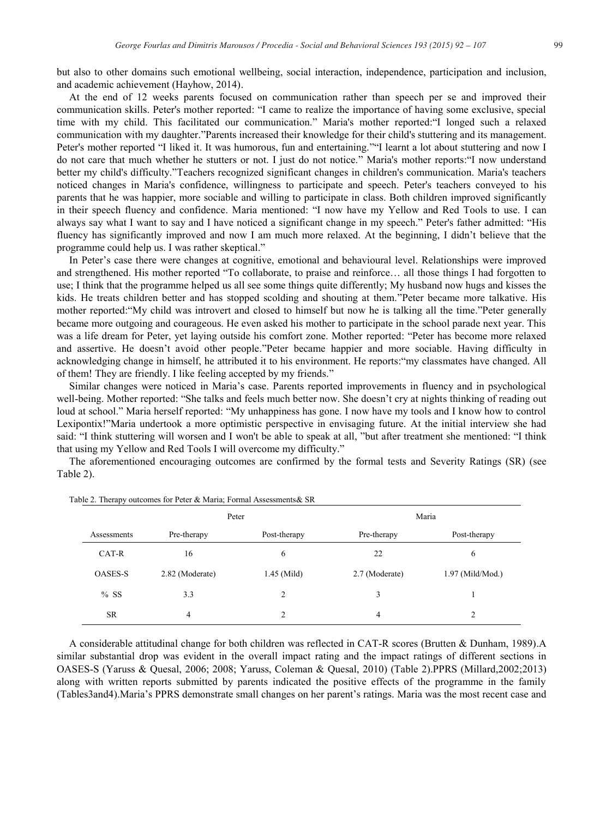but also to other domains such emotional wellbeing, social interaction, independence, participation and inclusion, and academic achievement (Hayhow, 2014).

At the end of 12 weeks parents focused on communication rather than speech per se and improved their communication skills. Peter's mother reported: "I came to realize the importance of having some exclusive, special time with my child. This facilitated our communication." Maria's mother reported:"I longed such a relaxed communication with my daughter."Parents increased their knowledge for their child's stuttering and its management. Peter's mother reported "I liked it. It was humorous, fun and entertaining.""I learnt a lot about stuttering and now I do not care that much whether he stutters or not. I just do not notice." Maria's mother reports:"I now understand better my child's difficulty."Teachers recognized significant changes in children's communication. Maria's teachers noticed changes in Maria's confidence, willingness to participate and speech. Peter's teachers conveyed to his parents that he was happier, more sociable and willing to participate in class. Both children improved significantly in their speech fluency and confidence. Maria mentioned: "I now have my Yellow and Red Tools to use. I can always say what I want to say and I have noticed a significant change in my speech." Peter's father admitted: "His fluency has significantly improved and now I am much more relaxed. At the beginning, I didn't believe that the programme could help us. I was rather skeptical."

In Peter's case there were changes at cognitive, emotional and behavioural level. Relationships were improved and strengthened. His mother reported "To collaborate, to praise and reinforce… all those things I had forgotten to use; I think that the programme helped us all see some things quite differently; My husband now hugs and kisses the kids. He treats children better and has stopped scolding and shouting at them."Peter became more talkative. His mother reported:"My child was introvert and closed to himself but now he is talking all the time."Peter generally became more outgoing and courageous. He even asked his mother to participate in the school parade next year. This was a life dream for Peter, yet laying outside his comfort zone. Mother reported: "Peter has become more relaxed and assertive. He doesn't avoid other people."Peter became happier and more sociable. Having difficulty in acknowledging change in himself, he attributed it to his environment. He reports:"my classmates have changed. All of them! They are friendly. I like feeling accepted by my friends."

Similar changes were noticed in Maria's case. Parents reported improvements in fluency and in psychological well-being. Mother reported: "She talks and feels much better now. She doesn't cry at nights thinking of reading out loud at school." Maria herself reported: "My unhappiness has gone. I now have my tools and I know how to control Lexipontix!"Maria undertook a more optimistic perspective in envisaging future. At the initial interview she had said: "I think stuttering will worsen and I won't be able to speak at all, "but after treatment she mentioned: "I think that using my Yellow and Red Tools I will overcome my difficulty."

The aforementioned encouraging outcomes are confirmed by the formal tests and Severity Ratings (SR) (see Table 2).

| $\sim$      | Peter           |               | Maria          |                  |  |
|-------------|-----------------|---------------|----------------|------------------|--|
| Assessments | Pre-therapy     | Post-therapy  | Pre-therapy    | Post-therapy     |  |
| CAT-R       | 16              | 6             | 22             | 6                |  |
| OASES-S     | 2.82 (Moderate) | $1.45$ (Mild) | 2.7 (Moderate) | 1.97 (Mild/Mod.) |  |
| $%$ SS      | 3.3             | 2             | 3              |                  |  |
| <b>SR</b>   | 4               | 2             | 4              | 2                |  |

Table 2. Therapy outcomes for Peter & Maria; Formal Assessments& SR

A considerable attitudinal change for both children was reflected in CAT-R scores (Brutten & Dunham, 1989).A similar substantial drop was evident in the overall impact rating and the impact ratings of different sections in OASES-S (Yaruss & Quesal, 2006; 2008; Yaruss, Coleman & Quesal, 2010) (Table 2).PPRS (Millard,2002;2013) along with written reports submitted by parents indicated the positive effects of the programme in the family (Tables3and4).Maria's PPRS demonstrate small changes on her parent's ratings. Maria was the most recent case and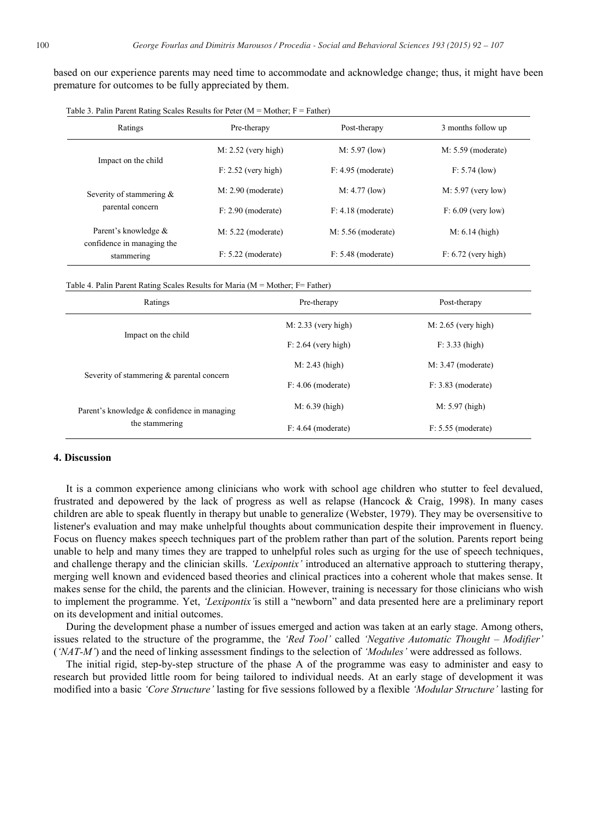based on our experience parents may need time to accommodate and acknowledge change; thus, it might have been premature for outcomes to be fully appreciated by them.

Table 3. Palin Parent Rating Scales Results for Peter ( $M = Mother$ ;  $F = Father$ )

| Ratings                                  | Pre-therapy           | Post-therapy         | 3 months follow up    |  |
|------------------------------------------|-----------------------|----------------------|-----------------------|--|
|                                          | $M: 2.52$ (very high) | $M: 5.97$ (low)      | $M: 5.59$ (moderate)  |  |
| Impact on the child                      | $F: 2.52$ (very high) | $F: 4.95$ (moderate) | $F: 5.74$ (low)       |  |
| Severity of stammering $\&$              | $M: 2.90$ (moderate)  | $M: 4.77$ (low)      | $M: 5.97$ (very low)  |  |
| parental concern                         | $F: 2.90$ (moderate)  | $F: 4.18$ (moderate) | $F: 6.09$ (very low)  |  |
| Parent's knowledge &                     | $M: 5.22$ (moderate)  | $M: 5.56$ (moderate) | $M: 6.14$ (high)      |  |
| confidence in managing the<br>stammering | $F: 5.22$ (moderate)  | $F: 5.48$ (moderate) | $F: 6.72$ (very high) |  |

Table 4. Palin Parent Rating Scales Results for Maria (M = Mother; F= Father)

| Ratings                                     | Pre-therapy           | Post-therapy          |  |
|---------------------------------------------|-----------------------|-----------------------|--|
|                                             | $M: 2.33$ (very high) | $M: 2.65$ (very high) |  |
| Impact on the child                         | $F: 2.64$ (very high) | $F: 3.33$ (high)      |  |
|                                             | $M: 2.43$ (high)      | $M: 3.47$ (moderate)  |  |
| Severity of stammering & parental concern   | $F: 4.06$ (moderate)  | $F: 3.83$ (moderate)  |  |
| Parent's knowledge & confidence in managing | $M: 6.39$ (high)      | $M: 5.97$ (high)      |  |
| the stammering                              | $F: 4.64$ (moderate)  | $F: 5.55$ (moderate)  |  |

#### **4. Discussion**

It is a common experience among clinicians who work with school age children who stutter to feel devalued, frustrated and depowered by the lack of progress as well as relapse (Hancock & Craig, 1998). In many cases children are able to speak fluently in therapy but unable to generalize (Webster, 1979). They may be oversensitive to listener's evaluation and may make unhelpful thoughts about communication despite their improvement in fluency. Focus on fluency makes speech techniques part of the problem rather than part of the solution. Parents report being unable to help and many times they are trapped to unhelpful roles such as urging for the use of speech techniques, and challenge therapy and the clinician skills. *'Lexipontix'* introduced an alternative approach to stuttering therapy, merging well known and evidenced based theories and clinical practices into a coherent whole that makes sense. It makes sense for the child, the parents and the clinician. However, training is necessary for those clinicians who wish to implement the programme. Yet, *'Lexipontix'*is still a "newborn" and data presented here are a preliminary report on its development and initial outcomes.

During the development phase a number of issues emerged and action was taken at an early stage. Among others, issues related to the structure of the programme, the *'Red Tool'* called *'Negative Automatic Thought – Modifier'* (*'NAT-M'*) and the need of linking assessment findings to the selection of *'Modules'* were addressed as follows.

The initial rigid, step-by-step structure of the phase A of the programme was easy to administer and easy to research but provided little room for being tailored to individual needs. At an early stage of development it was modified into a basic *'Core Structure'* lasting for five sessions followed by a flexible *'Modular Structure'* lasting for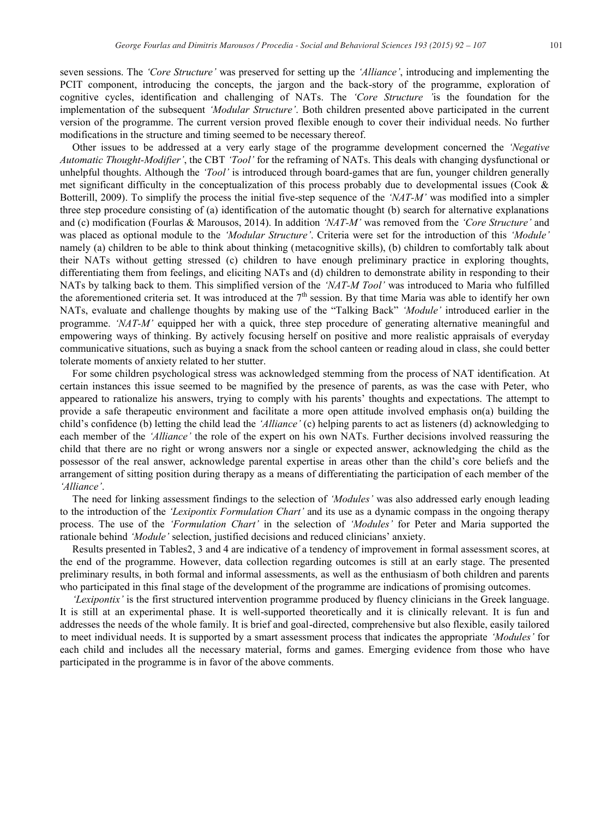seven sessions. The *'Core Structure'* was preserved for setting up the *'Alliance'*, introducing and implementing the PCIT component, introducing the concepts, the jargon and the back-story of the programme, exploration of cognitive cycles, identification and challenging of NATs. The *'Core Structure '*is the foundation for the implementation of the subsequent *'Modular Structure'*. Both children presented above participated in the current version of the programme. The current version proved flexible enough to cover their individual needs. No further modifications in the structure and timing seemed to be necessary thereof.

Other issues to be addressed at a very early stage of the programme development concerned the *'Negative Automatic Thought-Modifier'*, the CBT *'Tool'* for the reframing of NATs. This deals with changing dysfunctional or unhelpful thoughts. Although the *'Tool'* is introduced through board-games that are fun, younger children generally met significant difficulty in the conceptualization of this process probably due to developmental issues (Cook & Botterill, 2009). To simplify the process the initial five-step sequence of the *'NAT-M'* was modified into a simpler three step procedure consisting of (a) identification of the automatic thought (b) search for alternative explanations and (c) modification (Fourlas & Marousos, 2014). In addition *'NAT-M'* was removed from the *'Core Structure'* and was placed as optional module to the *'Modular Structure'*. Criteria were set for the introduction of this *'Module'* namely (a) children to be able to think about thinking (metacognitive skills), (b) children to comfortably talk about their NATs without getting stressed (c) children to have enough preliminary practice in exploring thoughts, differentiating them from feelings, and eliciting NATs and (d) children to demonstrate ability in responding to their NATs by talking back to them. This simplified version of the *'NAT-M Tool'* was introduced to Maria who fulfilled the aforementioned criteria set. It was introduced at the  $7<sup>th</sup>$  session. By that time Maria was able to identify her own NATs, evaluate and challenge thoughts by making use of the "Talking Back" *'Module'* introduced earlier in the programme. *'NAT-M'* equipped her with a quick, three step procedure of generating alternative meaningful and empowering ways of thinking. By actively focusing herself on positive and more realistic appraisals of everyday communicative situations, such as buying a snack from the school canteen or reading aloud in class, she could better tolerate moments of anxiety related to her stutter.

For some children psychological stress was acknowledged stemming from the process of NAT identification. At certain instances this issue seemed to be magnified by the presence of parents, as was the case with Peter, who appeared to rationalize his answers, trying to comply with his parents' thoughts and expectations. The attempt to provide a safe therapeutic environment and facilitate a more open attitude involved emphasis on(a) building the child's confidence (b) letting the child lead the *'Alliance'* (c) helping parents to act as listeners (d) acknowledging to each member of the *'Alliance'* the role of the expert on his own NATs. Further decisions involved reassuring the child that there are no right or wrong answers nor a single or expected answer, acknowledging the child as the possessor of the real answer, acknowledge parental expertise in areas other than the child's core beliefs and the arrangement of sitting position during therapy as a means of differentiating the participation of each member of the *'Alliance'*.

The need for linking assessment findings to the selection of *'Modules'* was also addressed early enough leading to the introduction of the *'Lexipontix Formulation Chart'* and its use as a dynamic compass in the ongoing therapy process. The use of the *'Formulation Chart'* in the selection of *'Modules'* for Peter and Maria supported the rationale behind *'Module'* selection, justified decisions and reduced clinicians' anxiety.

Results presented in Tables2, 3 and 4 are indicative of a tendency of improvement in formal assessment scores, at the end of the programme. However, data collection regarding outcomes is still at an early stage. The presented preliminary results, in both formal and informal assessments, as well as the enthusiasm of both children and parents who participated in this final stage of the development of the programme are indications of promising outcomes.

*'Lexipontix'* is the first structured intervention programme produced by fluency clinicians in the Greek language. It is still at an experimental phase. It is well-supported theoretically and it is clinically relevant. It is fun and addresses the needs of the whole family. It is brief and goal-directed, comprehensive but also flexible, easily tailored to meet individual needs. It is supported by a smart assessment process that indicates the appropriate *'Modules'* for each child and includes all the necessary material, forms and games. Emerging evidence from those who have participated in the programme is in favor of the above comments.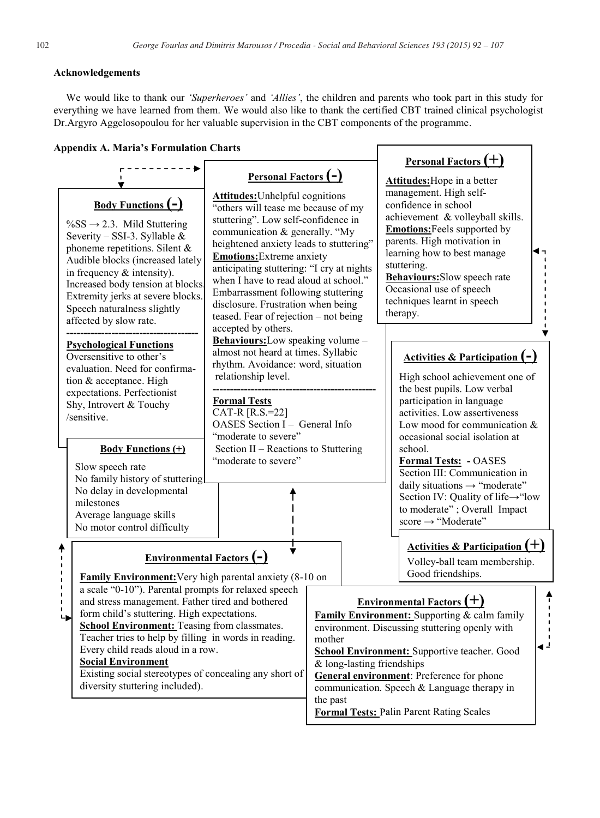$\Gamma$ 

٦

## **Acknowledgements**

We would like to thank our *'Superheroes'* and *'Allies'*, the children and parents who took part in this study for everything we have learned from them. We would also like to thank the certified CBT trained clinical psychologist Dr.Argyro Aggelosopoulou for her valuable supervision in the CBT components of the programme.

## **Appendix A. Maria's Formulation Charts**

|                                                                                                                            |                                                                                                                                                                                                                                                                                                                                                                                                                                                                                                                                       | Attitudes: Hope in a better<br>management. High self-<br>confidence in school<br>achievement & volleyball skills.<br><b>Emotions:</b> Feels supported by<br>parents. High motivation in<br>learning how to best manage<br>stuttering.<br>Behaviours: Slow speech rate<br>Occasional use of speech<br>techniques learnt in speech<br>therapy.                                                                                                                                                                                                                                                                                                                                                                                    | ר !                                                                                                                                                                                                                                                                                                                                                                                                                                  |
|----------------------------------------------------------------------------------------------------------------------------|---------------------------------------------------------------------------------------------------------------------------------------------------------------------------------------------------------------------------------------------------------------------------------------------------------------------------------------------------------------------------------------------------------------------------------------------------------------------------------------------------------------------------------------|---------------------------------------------------------------------------------------------------------------------------------------------------------------------------------------------------------------------------------------------------------------------------------------------------------------------------------------------------------------------------------------------------------------------------------------------------------------------------------------------------------------------------------------------------------------------------------------------------------------------------------------------------------------------------------------------------------------------------------|--------------------------------------------------------------------------------------------------------------------------------------------------------------------------------------------------------------------------------------------------------------------------------------------------------------------------------------------------------------------------------------------------------------------------------------|
| relationship level.<br><b>Formal Tests</b><br>$\overline{CAT-R}$ [R.S.=22]<br>"moderate to severe"<br>"moderate to severe" |                                                                                                                                                                                                                                                                                                                                                                                                                                                                                                                                       | <u>Activities &amp; Participation (-)</u><br>High school achievement one of<br>the best pupils. Low verbal<br>participation in language<br>activities. Low assertiveness<br>Low mood for communication $&$<br>occasional social isolation at<br>school.<br><b>Formal Tests: - OASES</b><br>Section III: Communication in<br>daily situations $\rightarrow$ "moderate"<br>Section IV: Quality of life→"low<br>to moderate"; Overall Impact                                                                                                                                                                                                                                                                                       |                                                                                                                                                                                                                                                                                                                                                                                                                                      |
|                                                                                                                            | mother<br>the past                                                                                                                                                                                                                                                                                                                                                                                                                                                                                                                    | <u><b>Activities &amp; Participation</b></u> (+)<br>Volley-ball team membership.<br>Good friendships.                                                                                                                                                                                                                                                                                                                                                                                                                                                                                                                                                                                                                           | ◢┚                                                                                                                                                                                                                                                                                                                                                                                                                                   |
|                                                                                                                            | Increased body tension at blocks.<br>accepted by others.<br>No family history of stuttering<br>Environmental Factors (-)<br>a scale "0-10"). Parental prompts for relaxed speech<br>and stress management. Father tired and bothered<br>form child's stuttering. High expectations.<br><b>School Environment:</b> Teasing from classmates.<br>Teacher tries to help by filling in words in reading.<br>Every child reads aloud in a row.<br>Existing social stereotypes of concealing any short of<br>diversity stuttering included). | Personal Factors (-)<br><b>Attitudes:</b> Unhelpful cognitions<br>"others will tease me because of my<br>stuttering". Low self-confidence in<br>communication & generally. "My<br>heightened anxiety leads to stuttering"<br><b>Emotions:</b> Extreme anxiety<br>anticipating stuttering: "I cry at nights<br>when I have to read aloud at school."<br>Embarrassment following stuttering<br>disclosure. Frustration when being<br>teased. Fear of rejection - not being<br>Behaviours: Low speaking volume -<br>almost not heard at times. Syllabic<br>rhythm. Avoidance: word, situation<br>OASES Section I - General Info<br>Section II – Reactions to Stuttering<br>Family Environment: Very high parental anxiety (8-10 on | <u>Personal Factors</u> (+)<br>score → "Moderate"<br><u>Environmental Factors</u> (+)<br>Family Environment: Supporting & calm family<br>environment. Discussing stuttering openly with<br><b>School Environment:</b> Supportive teacher. Good<br>$&$ long-lasting friendships<br><b>General environment:</b> Preference for phone<br>communication. Speech & Language therapy in<br><b>Formal Tests: Palin Parent Rating Scales</b> |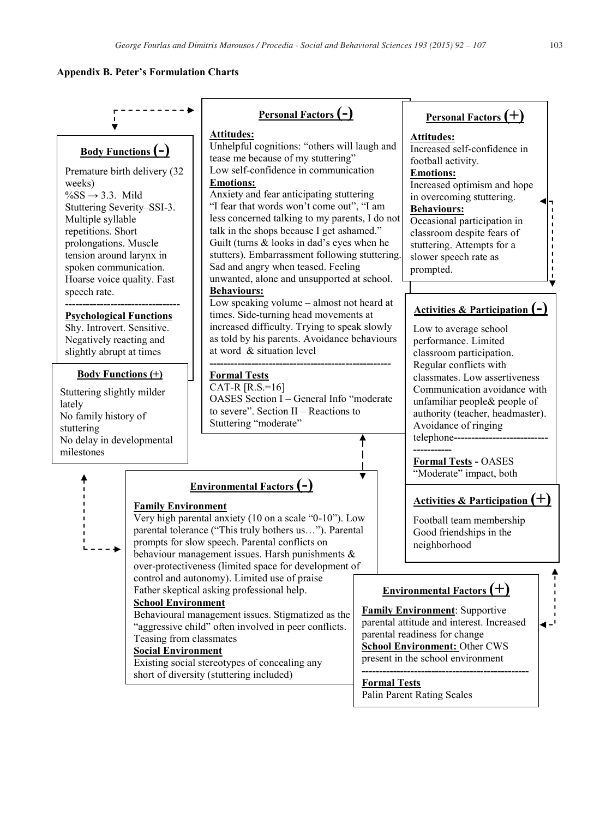## **Appendix B. Peter's Formulation Charts**

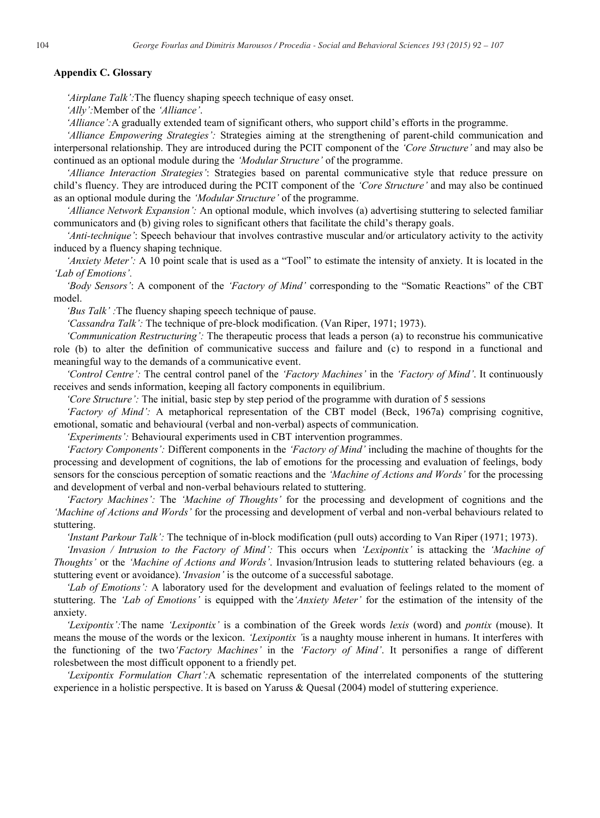#### **Appendix C. Glossary**

*'Airplane Talk':*The fluency shaping speech technique of easy onset.

*'Ally':*Member of the *'Alliance'*.

*'Alliance':*A gradually extended team of significant others, who support child's efforts in the programme.

*'Alliance Empowering Strategies':* Strategies aiming at the strengthening of parent-child communication and interpersonal relationship. They are introduced during the PCIT component of the *'Core Structure'* and may also be continued as an optional module during the *'Modular Structure'* of the programme.

*'Alliance Interaction Strategies'*: Strategies based on parental communicative style that reduce pressure on child's fluency. They are introduced during the PCIT component of the *'Core Structure'* and may also be continued as an optional module during the *'Modular Structure'* of the programme.

*'Alliance Network Expansion':* An optional module, which involves (a) advertising stuttering to selected familiar communicators and (b) giving roles to significant others that facilitate the child's therapy goals.

*'Anti-technique'*: Speech behaviour that involves contrastive muscular and/or articulatory activity to the activity induced by a fluency shaping technique.

*'Anxiety Meter':* A 10 point scale that is used as a "Tool" to estimate the intensity of anxiety. It is located in the *'Lab of Emotions'.*

*'Body Sensors'*: A component of the *'Factory of Mind'* corresponding to the "Somatic Reactions" of the CBT model.

*'Bus Talk' :*The fluency shaping speech technique of pause.

*'Cassandra Talk':* The technique of pre-block modification. (Van Riper, 1971; 1973).

*'Communication Restructuring':* The therapeutic process that leads a person (a) to reconstrue his communicative role (b) to alter the definition of communicative success and failure and (c) to respond in a functional and meaningful way to the demands of a communicative event.

*'Control Centre':* The central control panel of the *'Factory Machines'* in the *'Factory of Mind'*. It continuously receives and sends information, keeping all factory components in equilibrium.

*'Core Structure':* The initial, basic step by step period of the programme with duration of 5 sessions

*'Factory of Mind':* A metaphorical representation of the CBT model (Beck, 1967a) comprising cognitive, emotional, somatic and behavioural (verbal and non-verbal) aspects of communication.

*'Experiments':* Behavioural experiments used in CBT intervention programmes.

*'Factory Components':* Different components in the *'Factory of Mind'* including the machine of thoughts for the processing and development of cognitions, the lab of emotions for the processing and evaluation of feelings, body sensors for the conscious perception of somatic reactions and the *'Machine of Actions and Words'* for the processing and development of verbal and non-verbal behaviours related to stuttering.

*'Factory Machines':* The *'Machine of Thoughts'* for the processing and development of cognitions and the *'Machine of Actions and Words'* for the processing and development of verbal and non-verbal behaviours related to stuttering.

*'Instant Parkour Talk':* The technique of in-block modification (pull outs) according to Van Riper (1971; 1973).

*'Invasion / Intrusion to the Factory of Mind':* This occurs when *'Lexipontix'* is attacking the *'Machine of Thoughts'* or the *'Machine of Actions and Words'*. Invasion/Intrusion leads to stuttering related behaviours (eg. a stuttering event or avoidance).*'Invasion'* is the outcome of a successful sabotage.

*'Lab of Emotions':* A laboratory used for the development and evaluation of feelings related to the moment of stuttering. The *'Lab of Emotions'* is equipped with the*'Anxiety Meter'* for the estimation of the intensity of the anxiety.

*'Lexipontix':*The name *'Lexipontix'* is a combination of the Greek words *lexis* (word) and *pontix* (mouse). It means the mouse of the words or the lexicon. *'Lexipontix '*is a naughty mouse inherent in humans. It interferes with the functioning of the two*'Factory Machines'* in the *'Factory of Mind'*. It personifies a range of different rolesbetween the most difficult opponent to a friendly pet.

*'Lexipontix Formulation Chart':*A schematic representation of the interrelated components of the stuttering experience in a holistic perspective. It is based on Yaruss & Quesal (2004) model of stuttering experience.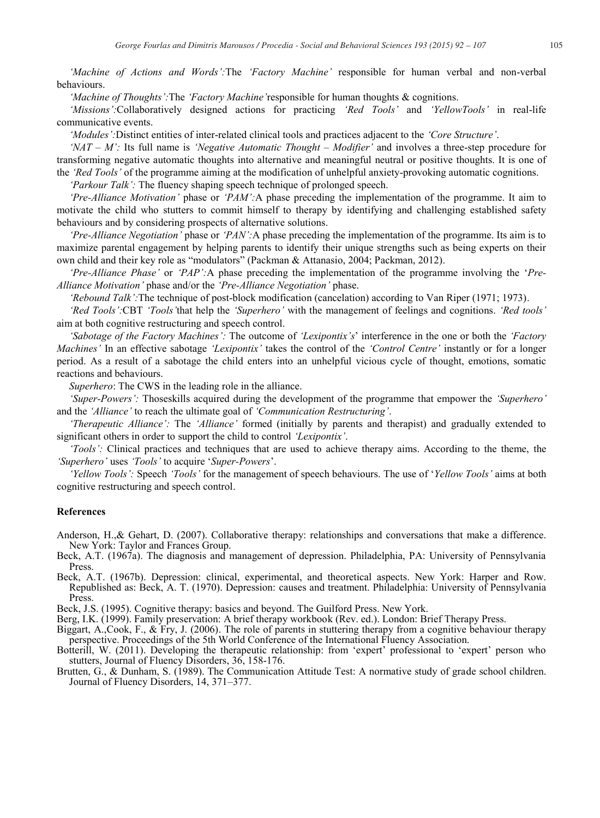*'Machine of Actions and Words':*The *'Factory Machine'* responsible for human verbal and non-verbal behaviours.

*'Machine of Thoughts':*The *'Factory Machine'*responsible for human thoughts & cognitions.

*'Missions':*Collaboratively designed actions for practicing *'Red Tools'* and *'YellowTools'* in real-life communicative events.

*'Modules':*Distinct entities of inter-related clinical tools and practices adjacent to the *'Core Structure'*.

*'NAT – M':* Its full name is *'Negative Automatic Thought – Modifier'* and involves a three-step procedure for transforming negative automatic thoughts into alternative and meaningful neutral or positive thoughts. It is one of the *'Red Tools'* of the programme aiming at the modification of unhelpful anxiety-provoking automatic cognitions.

*'Parkour Talk':* The fluency shaping speech technique of prolonged speech.

*'Pre-Alliance Motivation'* phase or *'PAM':*A phase preceding the implementation of the programme. It aim to motivate the child who stutters to commit himself to therapy by identifying and challenging established safety behaviours and by considering prospects of alternative solutions.

*'Pre-Alliance Negotiation'* phase or *'PAN':*A phase preceding the implementation of the programme. Its aim is to maximize parental engagement by helping parents to identify their unique strengths such as being experts on their own child and their key role as "modulators" (Packman & Attanasio, 2004; Packman, 2012).

*'Pre-Alliance Phase'* or *'PAP':*A phase preceding the implementation of the programme involving the '*Pre-Alliance Motivation'* phase and/or the *'Pre-Alliance Negotiation'* phase.

*'Rebound Talk':*The technique of post-block modification (cancelation) according to Van Riper (1971; 1973).

*'Red Tools':*CBT *'Tools'*that help the *'Superhero'* with the management of feelings and cognitions. *'Red tools'* aim at both cognitive restructuring and speech control.

*'Sabotage of the Factory Machines':* The outcome of *'Lexipontix's*' interference in the one or both the *'Factory Machines'* In an effective sabotage *'Lexipontix'* takes the control of the *'Control Centre'* instantly or for a longer period. As a result of a sabotage the child enters into an unhelpful vicious cycle of thought, emotions, somatic reactions and behaviours.

*Superhero*: The CWS in the leading role in the alliance.

*'Super-Powers':* Thoseskills acquired during the development of the programme that empower the *'Superhero'* and the *'Alliance'* to reach the ultimate goal of *'Communication Restructuring'*.

*'Therapeutic Alliance':* The *'Alliance'* formed (initially by parents and therapist) and gradually extended to significant others in order to support the child to control *'Lexipontix'*.

*'Tools':* Clinical practices and techniques that are used to achieve therapy aims. According to the theme, the *'Superhero'* uses *'Tools'* to acquire '*Super-Powers*'.

*'Yellow Tools':* Speech *'Tools'* for the management of speech behaviours. The use of '*Yellow Tools'* aims at both cognitive restructuring and speech control.

#### **References**

Anderson, H.,& Gehart, D. (2007). Collaborative therapy: relationships and conversations that make a difference. New York: Taylor and Frances Group.

Beck, A.T. (1967a). The diagnosis and management of depression. Philadelphia, PA: University of Pennsylvania Press.

Beck, A.T. (1967b). Depression: clinical, experimental, and theoretical aspects. New York: Harper and Row. Republished as: Beck, A. T. (1970). Depression: causes and treatment. Philadelphia: University of Pennsylvania Press.

Beck, J.S. (1995). Cognitive therapy: basics and beyond. The Guilford Press. New York.

Berg, I.K. (1999). Family preservation: A brief therapy workbook (Rev. ed.). London: Brief Therapy Press.

Biggart, A.,Cook, F., & Fry, J. (2006). The role of parents in stuttering therapy from a cognitive behaviour therapy perspective. Proceedings of the 5th World Conference of the International Fluency Association.

Botterill, W. (2011). Developing the therapeutic relationship: from 'expert' professional to 'expert' person who stutters, Journal of Fluency Disorders, 36, 158-176.

Brutten, G., & Dunham, S. (1989). The Communication Attitude Test: A normative study of grade school children. Journal of Fluency Disorders, 14, 371–377.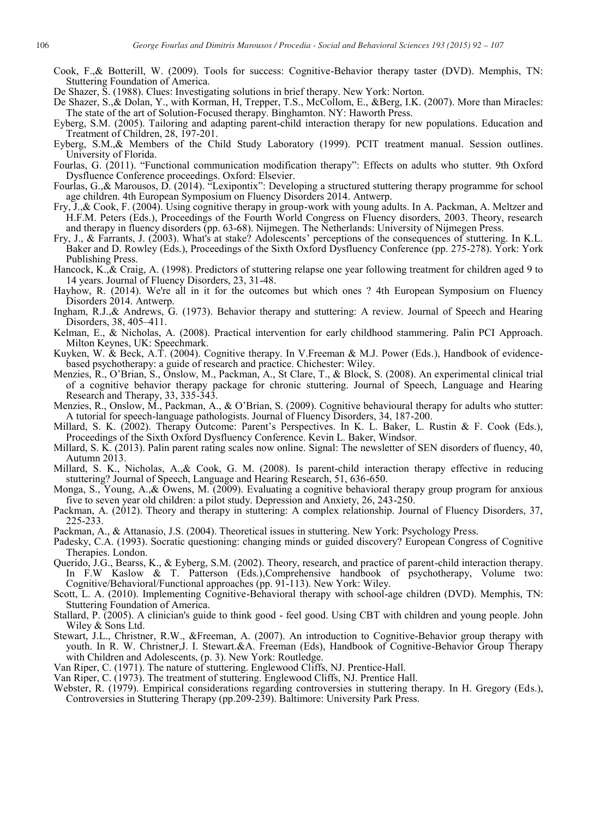- Cook, F.,& Botterill, W. (2009). Tools for success: Cognitive-Behavior therapy taster (DVD). Memphis, TN: Stuttering Foundation of America.
- De Shazer, S. (1988). Clues: Investigating solutions in brief therapy. New York: Norton.
- De Shazer, S.,& Dolan, Y., with Korman, H, Trepper, T.S., McCollom, E., &Berg, I.K. (2007). More than Miracles: The state of the art of Solution-Focused therapy. Binghamton. NY: Haworth Press.
- Eyberg, S.M. (2005). Tailoring and adapting parent-child interaction therapy for new populations. Education and Treatment of Children, 28, 197-201.
- Eyberg, S.M.,& Members of the Child Study Laboratory (1999). PCIT treatment manual. Session outlines. University of Florida. Fourlas, G. (2011). "Functional communication modification therapy": Effects on adults who stutter. 9th Oxford
- Dysfluence Conference proceedings. Oxford: Elsevier.
- Fourlas, G.,& Marousos, D. (2014). "Lexipontix": Developing a structured stuttering therapy programme for school age children. 4th European Symposium on Fluency Disorders 2014. Antwerp.
- Fry, J.,& Cook, F. (2004). Using cognitive therapy in group-work with young adults. In A. Packman, A. Meltzer and H.F.M. Peters (Eds.), Proceedings of the Fourth World Congress on Fluency disorders, 2003. Theory, research and therapy in fluency disorders (pp. 63-68). Nijmegen. The Netherlands: University of Nijmegen Press.
- Fry, J., & Farrants, J. (2003). What's at stake? Adolescents' perceptions of the consequences of stuttering. In K.L. Baker and D. Rowley (Eds.), Proceedings of the Sixth Oxford Dysfluency Conference (pp. 275-278). York: York Publishing Press.
- Hancock, K.,& Craig, A. (1998). Predictors of stuttering relapse one year following treatment for children aged 9 to 14 years. Journal of Fluency Disorders, 23, 31-48.
- Hayhow, R. (2014). We're all in it for the outcomes but which ones ? 4th European Symposium on Fluency Disorders 2014. Antwerp.
- Ingham, R.J.,& Andrews, G. (1973). Behavior therapy and stuttering: A review. Journal of Speech and Hearing Disorders, 38, 405–411.
- Kelman, E., & Nicholas, A. (2008). Practical intervention for early childhood stammering. Palin PCI Approach. Milton Keynes, UK: Speechmark.
- Kuyken, W. & Beck, A.T. (2004). Cognitive therapy. In V.Freeman & M.J. Power (Eds.), Handbook of evidencebased psychotherapy: a guide of research and practice. Chichester: Wiley.
- Menzies, R., O'Brian, S., Onslow, M., Packman, A., St Clare, T., & Block, S. (2008). An experimental clinical trial of a cognitive behavior therapy package for chronic stuttering. Journal of Speech, Language and Hearing Research and Therapy, 33, 335-343.
- Menzies, R., Onslow, M., Packman, A., & O'Brian, S. (2009). Cognitive behavioural therapy for adults who stutter: A tutorial for speech-language pathologists. Journal of Fluency Disorders, 34, 187-200.
- Millard, S. K. (2002). Therapy Outcome: Parent's Perspectives. In K. L. Baker, L. Rustin & F. Cook (Eds.), Proceedings of the Sixth Oxford Dysfluency Conference. Kevin L. Baker, Windsor.
- Millard, S. K. (2013). Palin parent rating scales now online. Signal: The newsletter of SEN disorders of fluency, 40, Autumn 2013.
- Millard, S. K., Nicholas, A.,& Cook, G. M. (2008). Is parent-child interaction therapy effective in reducing stuttering? Journal of Speech, Language and Hearing Research, 51, 636-650.
- Monga, S., Young, A.,& Owens, M. (2009). Evaluating a cognitive behavioral therapy group program for anxious five to seven year old children: a pilot study. Depression and Anxiety, 26, 243-250.
- Packman, A. (2012). Theory and therapy in stuttering: A complex relationship. Journal of Fluency Disorders, 37, 225-233.
- Packman, A., & Attanasio, J.S. (2004). Theoretical issues in stuttering. New York: Psychology Press.
- Padesky, C.A. (1993). Socratic questioning: changing minds or guided discovery? European Congress of Cognitive Therapies. London.
- Querido, J.G., Bearss, K., & Eyberg, S.M. (2002). Theory, research, and practice of parent-child interaction therapy. In F.W Kaslow & T. Patterson (Eds.),Comprehensive handbook of psychotherapy, Volume two: Cognitive/Behavioral/Functional approaches (pp. 91-113). New York: Wiley.
- Scott, L. A. (2010). Implementing Cognitive-Behavioral therapy with school-age children (DVD). Memphis, TN: Stuttering Foundation of America.
- Stallard, P. (2005). A clinician's guide to think good feel good. Using CBT with children and young people. John Wiley & Sons Ltd.
- Stewart, J.L., Christner, R.W., &Freeman, A. (2007). An introduction to Cognitive-Behavior group therapy with youth. In R. W. Christner,J. I. Stewart.&A. Freeman (Εds), Handbook of Cognitive-Behavior Group Therapy with Children and Adolescents, (p. 3). New York: Routledge.
- Van Riper, C. (1971). The nature of stuttering. Englewood Cliffs, NJ. Prentice-Hall.
- Van Riper, C. (1973). The treatment of stuttering. Englewood Cliffs, NJ. Prentice Hall.
- Webster, R. (1979). Empirical considerations regarding controversies in stuttering therapy. In H. Gregory (Eds.), Controversies in Stuttering Therapy (pp.209-239). Baltimore: University Park Press.